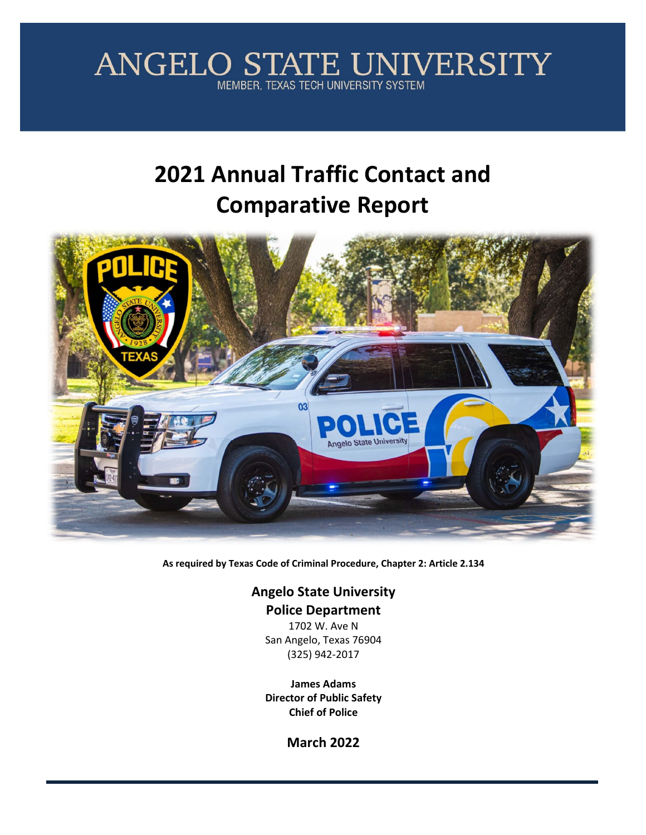# ANGELO STATE UNIVERSITY MEMBER, TEXAS TECH UNIVERSITY SYSTEM

# **2021 Annual Traffic Contact and Comparative Report**



**As required by Texas Code of Criminal Procedure, Chapter 2: Article 2.134**

# **Angelo State University Police Department**

1702 W. Ave N San Angelo, Texas 76904 (325) 942‐2017

**James Adams Director of Public Safety Chief of Police**

**March 2022**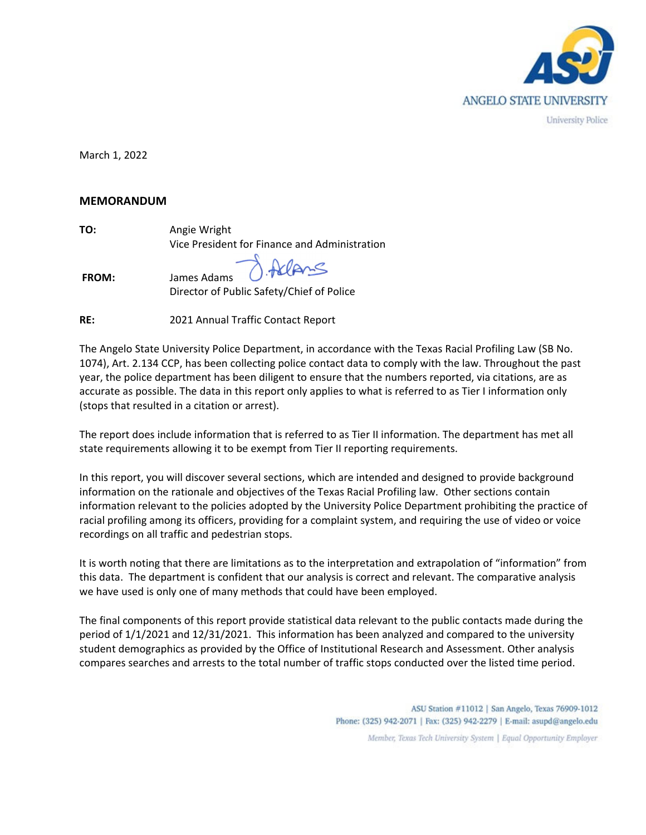

March 1, 2022

#### **MEMORANDUM**

| TO: | Angie Wright                                  |
|-----|-----------------------------------------------|
|     | Vice President for Finance and Administration |

**FROM:**  James Adams Director of Public Safety/Chief of Police

**RE:**  2021 Annual Traffic Contact Report

The Angelo State University Police Department, in accordance with the Texas Racial Profiling Law (SB No. 1074), Art. 2.134 CCP, has been collecting police contact data to comply with the law. Throughout the past year, the police department has been diligent to ensure that the numbers reported, via citations, are as accurate as possible. The data in this report only applies to what is referred to as Tier I information only (stops that resulted in a citation or arrest).

The report does include information that is referred to as Tier II information. The department has met all state requirements allowing it to be exempt from Tier II reporting requirements.

In this report, you will discover several sections, which are intended and designed to provide background information on the rationale and objectives of the Texas Racial Profiling law. Other sections contain information relevant to the policies adopted by the University Police Department prohibiting the practice of racial profiling among its officers, providing for a complaint system, and requiring the use of video or voice recordings on all traffic and pedestrian stops.

It is worth noting that there are limitations as to the interpretation and extrapolation of "information" from this data. The department is confident that our analysis is correct and relevant. The comparative analysis we have used is only one of many methods that could have been employed.

The final components of this report provide statistical data relevant to the public contacts made during the period of 1/1/2021 and 12/31/2021. This information has been analyzed and compared to the university student demographics as provided by the Office of Institutional Research and Assessment. Other analysis compares searches and arrests to the total number of traffic stops conducted over the listed time period.

Member, Texas Tech University System | Equal Opportunity Employer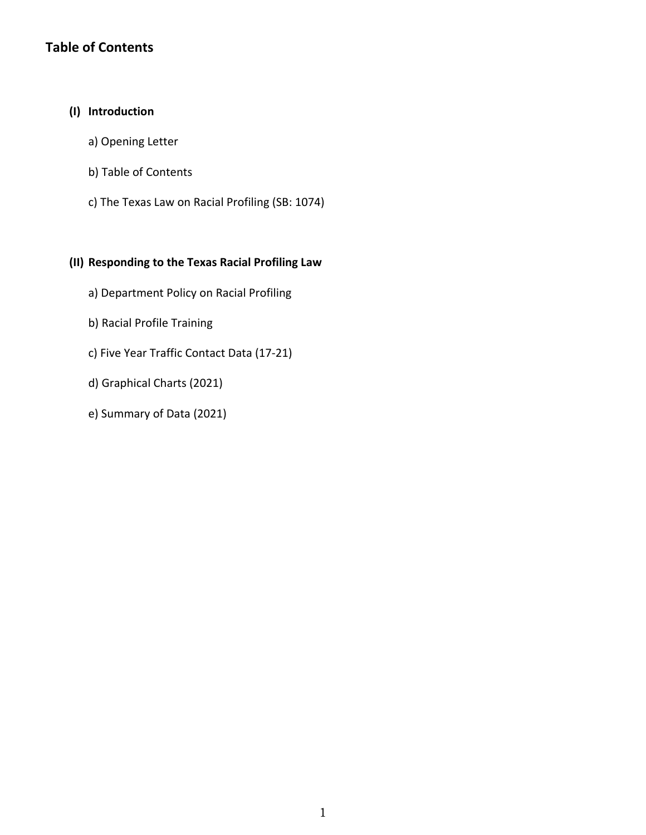# **Table of Contents**

#### **(I) Introduction**

- a) Opening Letter
- b) Table of Contents
- c) The Texas Law on Racial Profiling (SB: 1074)

# **(II) Responding to the Texas Racial Profiling Law**

- a) Department Policy on Racial Profiling
- b) Racial Profile Training
- c) Five Year Traffic Contact Data (17‐21)
- d) Graphical Charts (2021)
- e) Summary of Data (2021)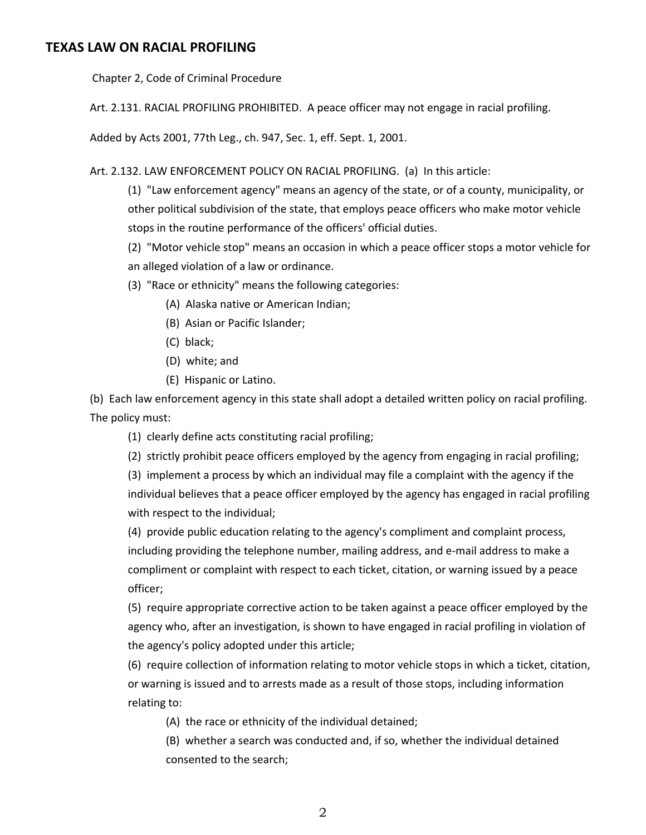### **TEXAS LAW ON RACIAL PROFILING**

Chapter 2, Code of Criminal Procedure

Art. 2.131. RACIAL PROFILING PROHIBITED. A peace officer may not engage in racial profiling.

Added by Acts 2001, 77th Leg., ch. 947, Sec. 1, eff. Sept. 1, 2001.

Art. 2.132. LAW ENFORCEMENT POLICY ON RACIAL PROFILING. (a) In this article:

(1) "Law enforcement agency" means an agency of the state, or of a county, municipality, or other political subdivision of the state, that employs peace officers who make motor vehicle stops in the routine performance of the officers' official duties.

(2) "Motor vehicle stop" means an occasion in which a peace officer stops a motor vehicle for an alleged violation of a law or ordinance.

(3) "Race or ethnicity" means the following categories:

(A) Alaska native or American Indian;

(B) Asian or Pacific Islander;

- (C) black;
- (D) white; and
- (E) Hispanic or Latino.

(b) Each law enforcement agency in this state shall adopt a detailed written policy on racial profiling. The policy must:

(1) clearly define acts constituting racial profiling;

(2) strictly prohibit peace officers employed by the agency from engaging in racial profiling;

(3) implement a process by which an individual may file a complaint with the agency if the individual believes that a peace officer employed by the agency has engaged in racial profiling with respect to the individual;

(4) provide public education relating to the agency's compliment and complaint process, including providing the telephone number, mailing address, and e-mail address to make a compliment or complaint with respect to each ticket, citation, or warning issued by a peace officer;

(5) require appropriate corrective action to be taken against a peace officer employed by the agency who, after an investigation, is shown to have engaged in racial profiling in violation of the agency's policy adopted under this article;

(6) require collection of information relating to motor vehicle stops in which a ticket, citation, or warning is issued and to arrests made as a result of those stops, including information relating to:

(A) the race or ethnicity of the individual detained;

(B) whether a search was conducted and, if so, whether the individual detained consented to the search;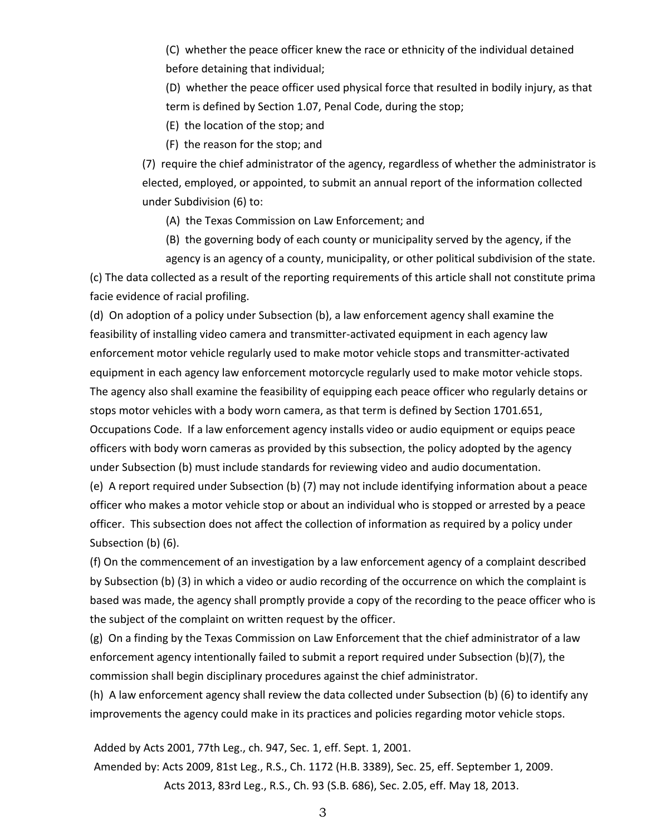(C) whether the peace officer knew the race or ethnicity of the individual detained before detaining that individual;

(D) whether the peace officer used physical force that resulted in bodily injury, as that term is defined by Section 1.07, Penal Code, during the stop;

(E) the location of the stop; and

(F) the reason for the stop; and

(7) require the chief administrator of the agency, regardless of whether the administrator is elected, employed, or appointed, to submit an annual report of the information collected under Subdivision (6) to:

(A) the Texas Commission on Law Enforcement; and

(B) the governing body of each county or municipality served by the agency, if the

agency is an agency of a county, municipality, or other political subdivision of the state. (c) The data collected as a result of the reporting requirements of this article shall not constitute prima facie evidence of racial profiling.

(d) On adoption of a policy under Subsection (b), a law enforcement agency shall examine the feasibility of installing video camera and transmitter-activated equipment in each agency law enforcement motor vehicle regularly used to make motor vehicle stops and transmitter‐activated equipment in each agency law enforcement motorcycle regularly used to make motor vehicle stops. The agency also shall examine the feasibility of equipping each peace officer who regularly detains or stops motor vehicles with a body worn camera, as that term is defined by Section 1701.651, Occupations Code. If a law enforcement agency installs video or audio equipment or equips peace officers with body worn cameras as provided by this subsection, the policy adopted by the agency under Subsection (b) must include standards for reviewing video and audio documentation. (e) A report required under Subsection (b) (7) may not include identifying information about a peace officer who makes a motor vehicle stop or about an individual who is stopped or arrested by a peace officer. This subsection does not affect the collection of information as required by a policy under

Subsection (b) (6).

(f) On the commencement of an investigation by a law enforcement agency of a complaint described by Subsection (b) (3) in which a video or audio recording of the occurrence on which the complaint is based was made, the agency shall promptly provide a copy of the recording to the peace officer who is the subject of the complaint on written request by the officer.

(g) On a finding by the Texas Commission on Law Enforcement that the chief administrator of a law enforcement agency intentionally failed to submit a report required under Subsection (b)(7), the commission shall begin disciplinary procedures against the chief administrator.

(h) A law enforcement agency shall review the data collected under Subsection (b) (6) to identify any improvements the agency could make in its practices and policies regarding motor vehicle stops.

Added by Acts 2001, 77th Leg., ch. 947, Sec. 1, eff. Sept. 1, 2001.

Amended by: Acts 2009, 81st Leg., R.S., Ch. 1172 (H.B. 3389), Sec. 25, eff. September 1, 2009. Acts 2013, 83rd Leg., R.S., Ch. 93 (S.B. 686), Sec. 2.05, eff. May 18, 2013.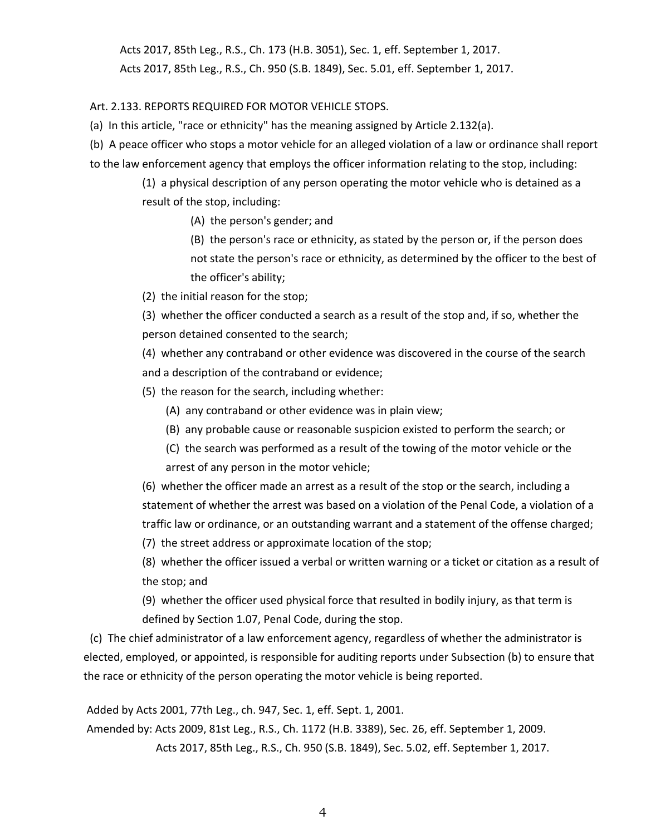Acts 2017, 85th Leg., R.S., Ch. 173 (H.B. 3051), Sec. 1, eff. September 1, 2017. Acts 2017, 85th Leg., R.S., Ch. 950 (S.B. 1849), Sec. 5.01, eff. September 1, 2017.

#### Art. 2.133. REPORTS REQUIRED FOR MOTOR VEHICLE STOPS.

(a) In this article, "race or ethnicity" has the meaning assigned by Article 2.132(a).

(b) A peace officer who stops a motor vehicle for an alleged violation of a law or ordinance shall report to the law enforcement agency that employs the officer information relating to the stop, including:

> (1) a physical description of any person operating the motor vehicle who is detained as a result of the stop, including:

> > (A) the person's gender; and

(B) the person's race or ethnicity, as stated by the person or, if the person does not state the person's race or ethnicity, as determined by the officer to the best of the officer's ability;

(2) the initial reason for the stop;

(3) whether the officer conducted a search as a result of the stop and, if so, whether the person detained consented to the search;

(4) whether any contraband or other evidence was discovered in the course of the search and a description of the contraband or evidence;

(5) the reason for the search, including whether:

(A) any contraband or other evidence was in plain view;

(B) any probable cause or reasonable suspicion existed to perform the search; or

(C) the search was performed as a result of the towing of the motor vehicle or the arrest of any person in the motor vehicle;

(6) whether the officer made an arrest as a result of the stop or the search, including a statement of whether the arrest was based on a violation of the Penal Code, a violation of a traffic law or ordinance, or an outstanding warrant and a statement of the offense charged;

(7) the street address or approximate location of the stop;

(8) whether the officer issued a verbal or written warning or a ticket or citation as a result of the stop; and

(9) whether the officer used physical force that resulted in bodily injury, as that term is defined by Section 1.07, Penal Code, during the stop.

(c) The chief administrator of a law enforcement agency, regardless of whether the administrator is elected, employed, or appointed, is responsible for auditing reports under Subsection (b) to ensure that the race or ethnicity of the person operating the motor vehicle is being reported.

Added by Acts 2001, 77th Leg., ch. 947, Sec. 1, eff. Sept. 1, 2001.

 Amended by: Acts 2009, 81st Leg., R.S., Ch. 1172 (H.B. 3389), Sec. 26, eff. September 1, 2009. Acts 2017, 85th Leg., R.S., Ch. 950 (S.B. 1849), Sec. 5.02, eff. September 1, 2017.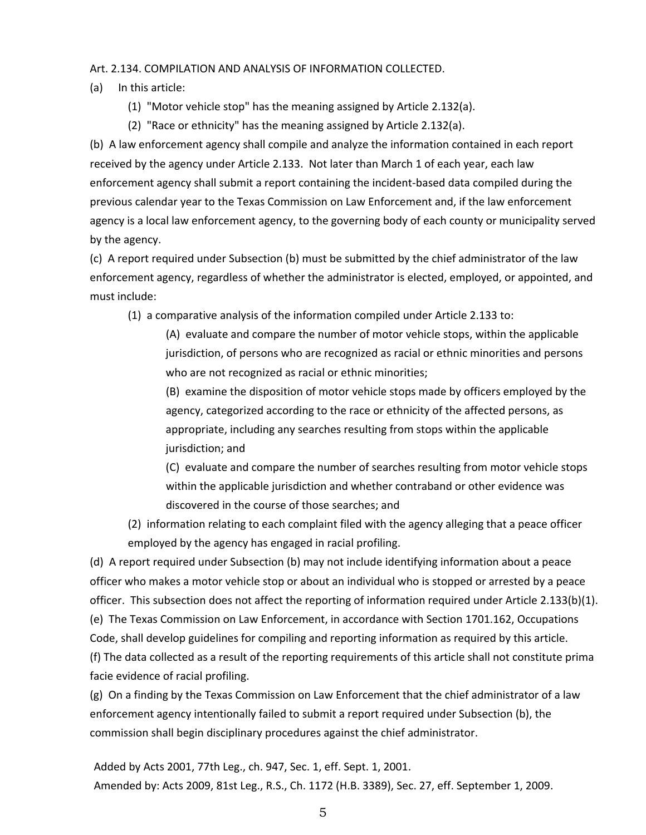#### Art. 2.134. COMPILATION AND ANALYSIS OF INFORMATION COLLECTED.

(a) In this article:

- (1) "Motor vehicle stop" has the meaning assigned by Article 2.132(a).
- (2) "Race or ethnicity" has the meaning assigned by Article 2.132(a).

(b) A law enforcement agency shall compile and analyze the information contained in each report received by the agency under Article 2.133. Not later than March 1 of each year, each law enforcement agency shall submit a report containing the incident‐based data compiled during the previous calendar year to the Texas Commission on Law Enforcement and, if the law enforcement agency is a local law enforcement agency, to the governing body of each county or municipality served by the agency.

(c) A report required under Subsection (b) must be submitted by the chief administrator of the law enforcement agency, regardless of whether the administrator is elected, employed, or appointed, and must include:

(1) a comparative analysis of the information compiled under Article 2.133 to:

(A) evaluate and compare the number of motor vehicle stops, within the applicable jurisdiction, of persons who are recognized as racial or ethnic minorities and persons who are not recognized as racial or ethnic minorities;

(B) examine the disposition of motor vehicle stops made by officers employed by the agency, categorized according to the race or ethnicity of the affected persons, as appropriate, including any searches resulting from stops within the applicable jurisdiction; and

(C) evaluate and compare the number of searches resulting from motor vehicle stops within the applicable jurisdiction and whether contraband or other evidence was discovered in the course of those searches; and

(2) information relating to each complaint filed with the agency alleging that a peace officer employed by the agency has engaged in racial profiling.

(d) A report required under Subsection (b) may not include identifying information about a peace officer who makes a motor vehicle stop or about an individual who is stopped or arrested by a peace officer. This subsection does not affect the reporting of information required under Article 2.133(b)(1). (e) The Texas Commission on Law Enforcement, in accordance with Section 1701.162, Occupations Code, shall develop guidelines for compiling and reporting information as required by this article. (f) The data collected as a result of the reporting requirements of this article shall not constitute prima facie evidence of racial profiling.

(g) On a finding by the Texas Commission on Law Enforcement that the chief administrator of a law enforcement agency intentionally failed to submit a report required under Subsection (b), the commission shall begin disciplinary procedures against the chief administrator.

Added by Acts 2001, 77th Leg., ch. 947, Sec. 1, eff. Sept. 1, 2001. Amended by: Acts 2009, 81st Leg., R.S., Ch. 1172 (H.B. 3389), Sec. 27, eff. September 1, 2009.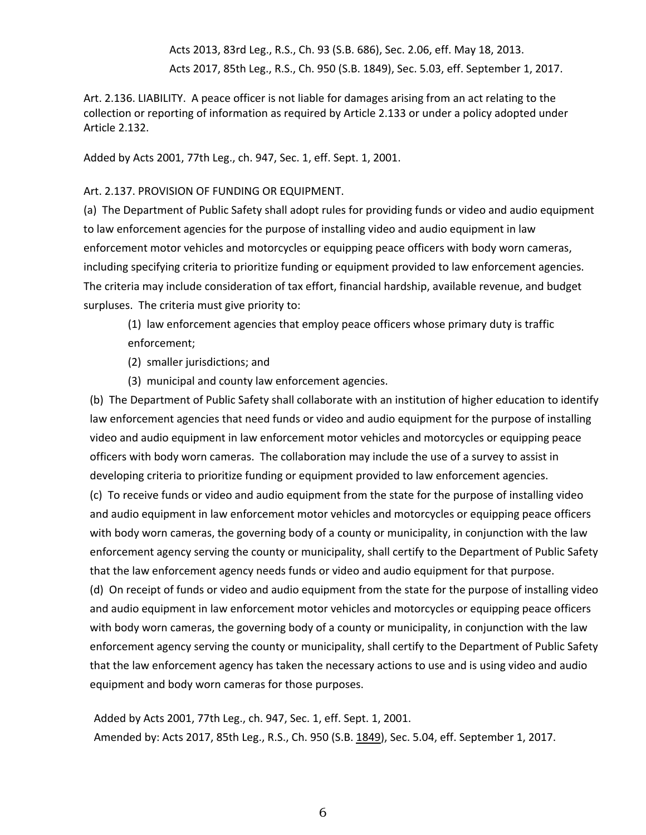Acts 2013, 83rd Leg., R.S., Ch. 93 (S.B. 686), Sec. 2.06, eff. May 18, 2013. Acts 2017, 85th Leg., R.S., Ch. 950 (S.B. 1849), Sec. 5.03, eff. September 1, 2017.

Art. 2.136. LIABILITY. A peace officer is not liable for damages arising from an act relating to the collection or reporting of information as required by Article 2.133 or under a policy adopted under Article 2.132.

Added by Acts 2001, 77th Leg., ch. 947, Sec. 1, eff. Sept. 1, 2001.

#### Art. 2.137. PROVISION OF FUNDING OR EQUIPMENT.

(a) The Department of Public Safety shall adopt rules for providing funds or video and audio equipment to law enforcement agencies for the purpose of installing video and audio equipment in law enforcement motor vehicles and motorcycles or equipping peace officers with body worn cameras, including specifying criteria to prioritize funding or equipment provided to law enforcement agencies. The criteria may include consideration of tax effort, financial hardship, available revenue, and budget surpluses. The criteria must give priority to:

(1) law enforcement agencies that employ peace officers whose primary duty is traffic enforcement;

(2) smaller jurisdictions; and

(3) municipal and county law enforcement agencies.

(b) The Department of Public Safety shall collaborate with an institution of higher education to identify law enforcement agencies that need funds or video and audio equipment for the purpose of installing video and audio equipment in law enforcement motor vehicles and motorcycles or equipping peace officers with body worn cameras. The collaboration may include the use of a survey to assist in developing criteria to prioritize funding or equipment provided to law enforcement agencies. (c) To receive funds or video and audio equipment from the state for the purpose of installing video and audio equipment in law enforcement motor vehicles and motorcycles or equipping peace officers

with body worn cameras, the governing body of a county or municipality, in conjunction with the law enforcement agency serving the county or municipality, shall certify to the Department of Public Safety that the law enforcement agency needs funds or video and audio equipment for that purpose.

(d) On receipt of funds or video and audio equipment from the state for the purpose of installing video and audio equipment in law enforcement motor vehicles and motorcycles or equipping peace officers with body worn cameras, the governing body of a county or municipality, in conjunction with the law enforcement agency serving the county or municipality, shall certify to the Department of Public Safety that the law enforcement agency has taken the necessary actions to use and is using video and audio equipment and body worn cameras for those purposes.

Added by Acts 2001, 77th Leg., ch. 947, Sec. 1, eff. Sept. 1, 2001. Amended by: Acts 2017, 85th Leg., R.S., Ch. 950 (S.B. 1849), Sec. 5.04, eff. September 1, 2017.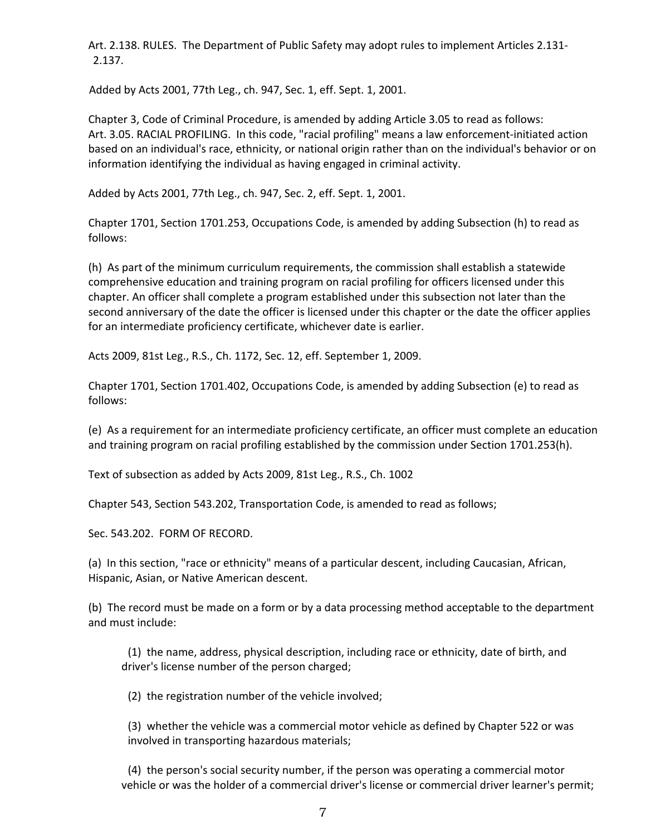Art. 2.138. RULES. The Department of Public Safety may adopt rules to implement Articles 2.131‐ 2.137.

Added by Acts 2001, 77th Leg., ch. 947, Sec. 1, eff. Sept. 1, 2001.

Chapter 3, Code of Criminal Procedure, is amended by adding Article 3.05 to read as follows: Art. 3.05. RACIAL PROFILING. In this code, "racial profiling" means a law enforcement‐initiated action based on an individual's race, ethnicity, or national origin rather than on the individual's behavior or on information identifying the individual as having engaged in criminal activity.

Added by Acts 2001, 77th Leg., ch. 947, Sec. 2, eff. Sept. 1, 2001.

Chapter 1701, Section 1701.253, Occupations Code, is amended by adding Subsection (h) to read as follows:

(h) As part of the minimum curriculum requirements, the commission shall establish a statewide comprehensive education and training program on racial profiling for officers licensed under this chapter. An officer shall complete a program established under this subsection not later than the second anniversary of the date the officer is licensed under this chapter or the date the officer applies for an intermediate proficiency certificate, whichever date is earlier.

Acts 2009, 81st Leg., R.S., Ch. 1172, Sec. 12, eff. September 1, 2009.

Chapter 1701, Section 1701.402, Occupations Code, is amended by adding Subsection (e) to read as follows:

(e) As a requirement for an intermediate proficiency certificate, an officer must complete an education and training program on racial profiling established by the commission under Section 1701.253(h).

Text of subsection as added by Acts 2009, 81st Leg., R.S., Ch. 1002

Chapter 543, Section 543.202, Transportation Code, is amended to read as follows;

Sec. 543.202. FORM OF RECORD.

(a) In this section, "race or ethnicity" means of a particular descent, including Caucasian, African, Hispanic, Asian, or Native American descent.

(b) The record must be made on a form or by a data processing method acceptable to the department and must include:

(1) the name, address, physical description, including race or ethnicity, date of birth, and driver's license number of the person charged;

(2) the registration number of the vehicle involved;

(3) whether the vehicle was a commercial motor vehicle as defined by Chapter 522 or was involved in transporting hazardous materials;

(4) the person's social security number, if the person was operating a commercial motor vehicle or was the holder of a commercial driver's license or commercial driver learner's permit;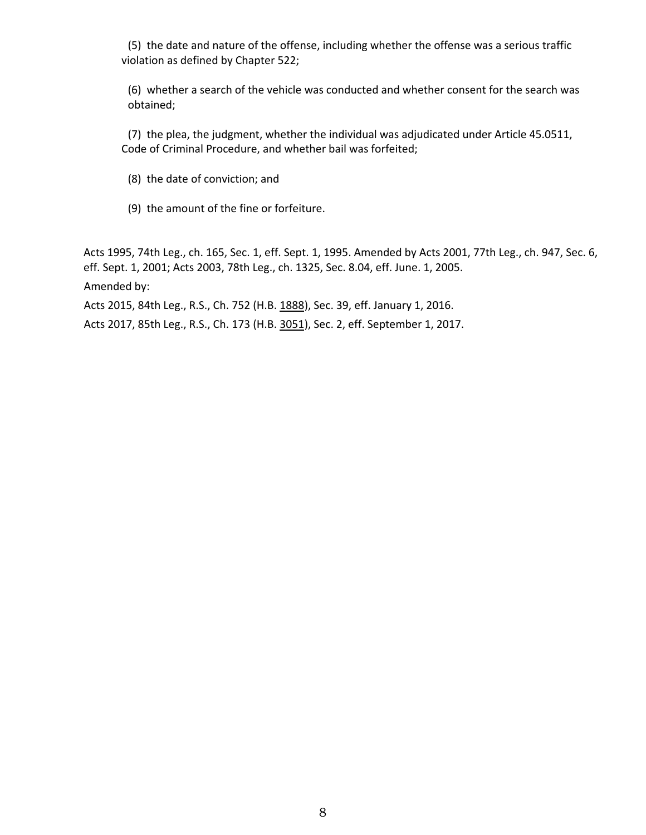(5) the date and nature of the offense, including whether the offense was a serious traffic violation as defined by Chapter 522;

(6) whether a search of the vehicle was conducted and whether consent for the search was obtained;

(7) the plea, the judgment, whether the individual was adjudicated under Article 45.0511, Code of Criminal Procedure, and whether bail was forfeited;

(8) the date of conviction; and

(9) the amount of the fine or forfeiture.

Acts 1995, 74th Leg., ch. 165, Sec. 1, eff. Sept. 1, 1995. Amended by Acts 2001, 77th Leg., ch. 947, Sec. 6, eff. Sept. 1, 2001; Acts 2003, 78th Leg., ch. 1325, Sec. 8.04, eff. June. 1, 2005.

Amended by:

Acts 2015, 84th Leg., R.S., Ch. 752 (H.B. 1888), Sec. 39, eff. January 1, 2016.

Acts 2017, 85th Leg., R.S., Ch. 173 (H.B. 3051), Sec. 2, eff. September 1, 2017.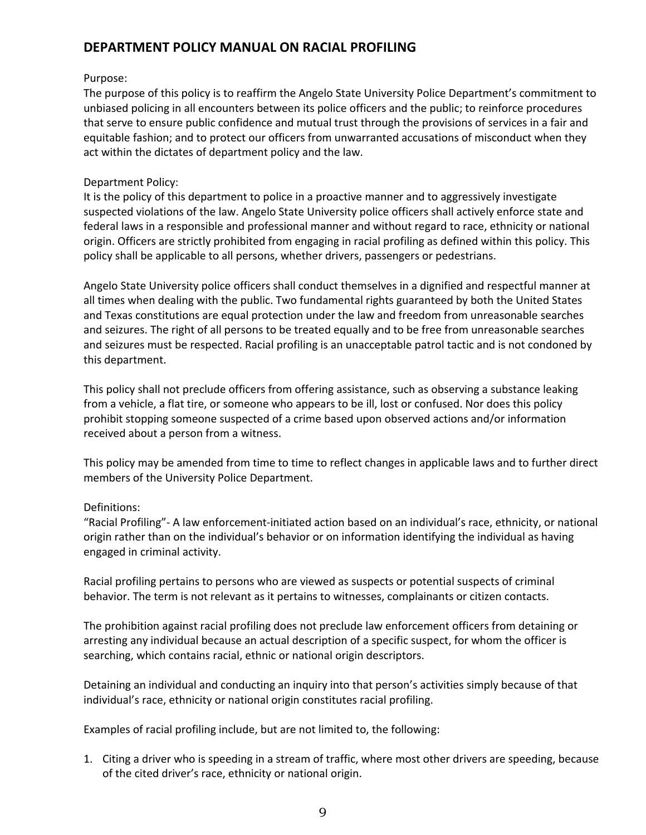# **DEPARTMENT POLICY MANUAL ON RACIAL PROFILING**

#### Purpose:

The purpose of this policy is to reaffirm the Angelo State University Police Department's commitment to unbiased policing in all encounters between its police officers and the public; to reinforce procedures that serve to ensure public confidence and mutual trust through the provisions of services in a fair and equitable fashion; and to protect our officers from unwarranted accusations of misconduct when they act within the dictates of department policy and the law.

#### Department Policy:

It is the policy of this department to police in a proactive manner and to aggressively investigate suspected violations of the law. Angelo State University police officers shall actively enforce state and federal laws in a responsible and professional manner and without regard to race, ethnicity or national origin. Officers are strictly prohibited from engaging in racial profiling as defined within this policy. This policy shall be applicable to all persons, whether drivers, passengers or pedestrians.

Angelo State University police officers shall conduct themselves in a dignified and respectful manner at all times when dealing with the public. Two fundamental rights guaranteed by both the United States and Texas constitutions are equal protection under the law and freedom from unreasonable searches and seizures. The right of all persons to be treated equally and to be free from unreasonable searches and seizures must be respected. Racial profiling is an unacceptable patrol tactic and is not condoned by this department.

This policy shall not preclude officers from offering assistance, such as observing a substance leaking from a vehicle, a flat tire, or someone who appears to be ill, lost or confused. Nor does this policy prohibit stopping someone suspected of a crime based upon observed actions and/or information received about a person from a witness.

This policy may be amended from time to time to reflect changes in applicable laws and to further direct members of the University Police Department.

#### Definitions:

"Racial Profiling"‐ A law enforcement‐initiated action based on an individual's race, ethnicity, or national origin rather than on the individual's behavior or on information identifying the individual as having engaged in criminal activity.

Racial profiling pertains to persons who are viewed as suspects or potential suspects of criminal behavior. The term is not relevant as it pertains to witnesses, complainants or citizen contacts.

The prohibition against racial profiling does not preclude law enforcement officers from detaining or arresting any individual because an actual description of a specific suspect, for whom the officer is searching, which contains racial, ethnic or national origin descriptors.

Detaining an individual and conducting an inquiry into that person's activities simply because of that individual's race, ethnicity or national origin constitutes racial profiling.

Examples of racial profiling include, but are not limited to, the following:

1. Citing a driver who is speeding in a stream of traffic, where most other drivers are speeding, because of the cited driver's race, ethnicity or national origin.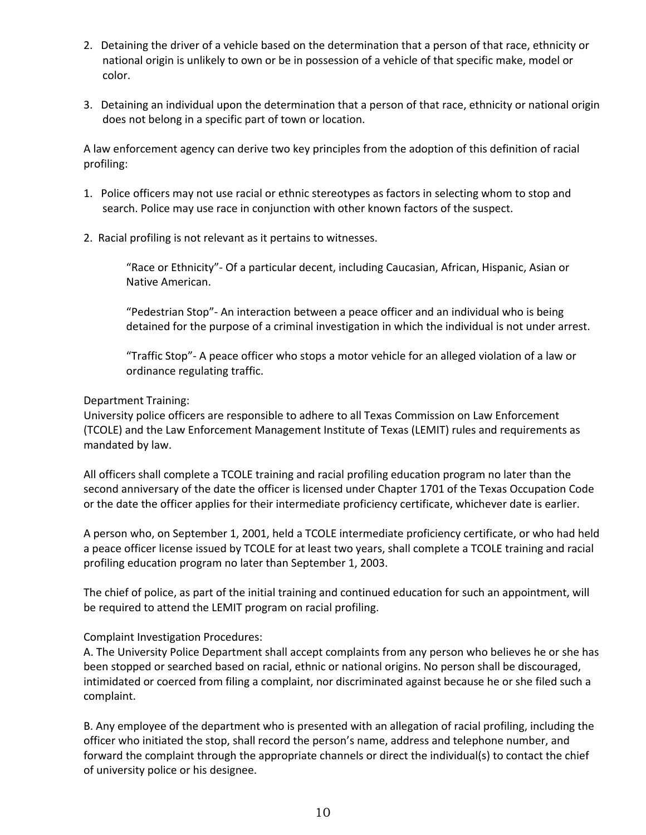- 2. Detaining the driver of a vehicle based on the determination that a person of that race, ethnicity or national origin is unlikely to own or be in possession of a vehicle of that specific make, model or color.
- 3. Detaining an individual upon the determination that a person of that race, ethnicity or national origin does not belong in a specific part of town or location.

A law enforcement agency can derive two key principles from the adoption of this definition of racial profiling:

- 1. Police officers may not use racial or ethnic stereotypes as factors in selecting whom to stop and search. Police may use race in conjunction with other known factors of the suspect.
- 2. Racial profiling is not relevant as it pertains to witnesses.

"Race or Ethnicity"‐ Of a particular decent, including Caucasian, African, Hispanic, Asian or Native American.

"Pedestrian Stop"‐ An interaction between a peace officer and an individual who is being detained for the purpose of a criminal investigation in which the individual is not under arrest.

"Traffic Stop"‐ A peace officer who stops a motor vehicle for an alleged violation of a law or ordinance regulating traffic.

#### Department Training:

University police officers are responsible to adhere to all Texas Commission on Law Enforcement (TCOLE) and the Law Enforcement Management Institute of Texas (LEMIT) rules and requirements as mandated by law.

All officers shall complete a TCOLE training and racial profiling education program no later than the second anniversary of the date the officer is licensed under Chapter 1701 of the Texas Occupation Code or the date the officer applies for their intermediate proficiency certificate, whichever date is earlier.

A person who, on September 1, 2001, held a TCOLE intermediate proficiency certificate, or who had held a peace officer license issued by TCOLE for at least two years, shall complete a TCOLE training and racial profiling education program no later than September 1, 2003.

The chief of police, as part of the initial training and continued education for such an appointment, will be required to attend the LEMIT program on racial profiling.

#### Complaint Investigation Procedures:

A. The University Police Department shall accept complaints from any person who believes he or she has been stopped or searched based on racial, ethnic or national origins. No person shall be discouraged, intimidated or coerced from filing a complaint, nor discriminated against because he or she filed such a complaint.

B. Any employee of the department who is presented with an allegation of racial profiling, including the officer who initiated the stop, shall record the person's name, address and telephone number, and forward the complaint through the appropriate channels or direct the individual(s) to contact the chief of university police or his designee.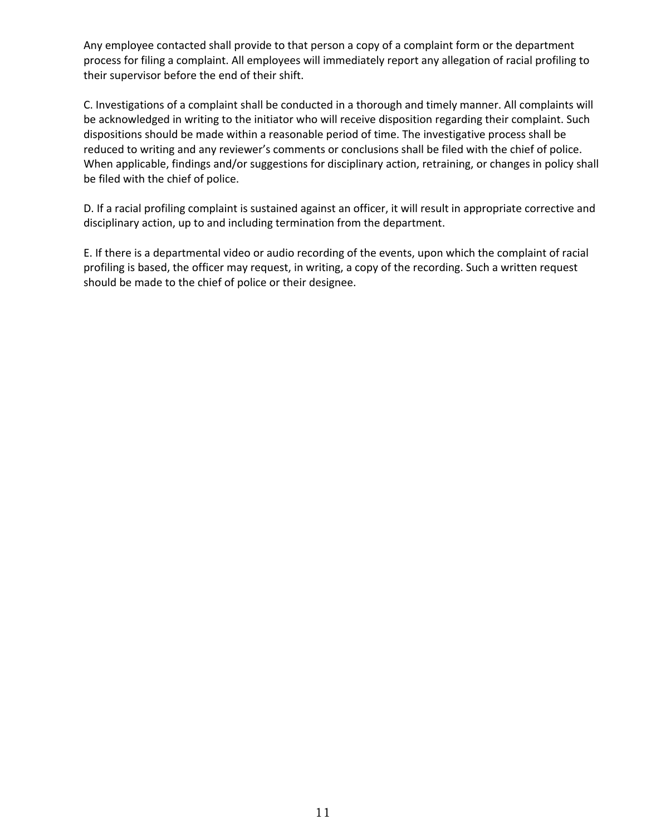Any employee contacted shall provide to that person a copy of a complaint form or the department process for filing a complaint. All employees will immediately report any allegation of racial profiling to their supervisor before the end of their shift.

C. Investigations of a complaint shall be conducted in a thorough and timely manner. All complaints will be acknowledged in writing to the initiator who will receive disposition regarding their complaint. Such dispositions should be made within a reasonable period of time. The investigative process shall be reduced to writing and any reviewer's comments or conclusions shall be filed with the chief of police. When applicable, findings and/or suggestions for disciplinary action, retraining, or changes in policy shall be filed with the chief of police.

D. If a racial profiling complaint is sustained against an officer, it will result in appropriate corrective and disciplinary action, up to and including termination from the department.

E. If there is a departmental video or audio recording of the events, upon which the complaint of racial profiling is based, the officer may request, in writing, a copy of the recording. Such a written request should be made to the chief of police or their designee.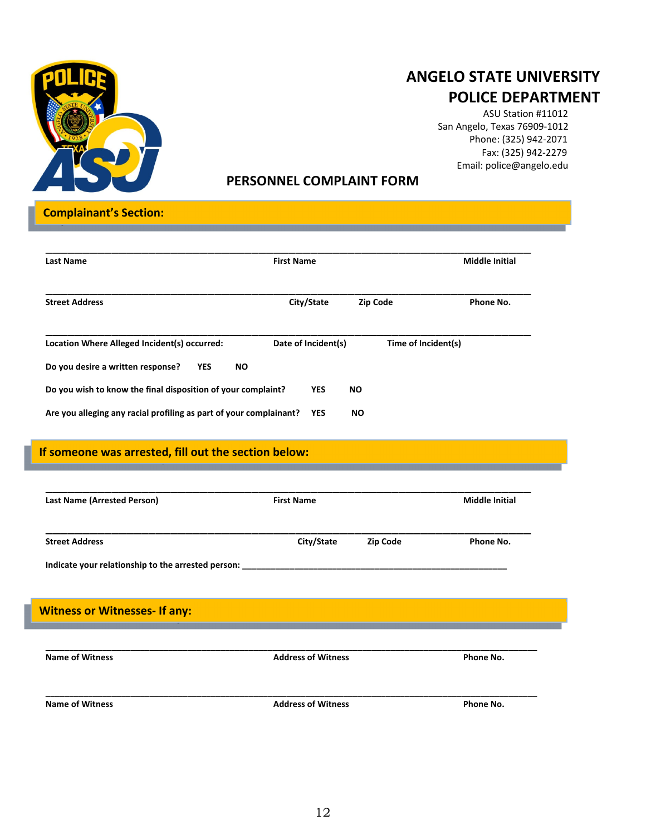

# **ANGELO STATE UNIVERSITY POLICE DEPARTMENT**

 ASU Station #11012 San Angelo, Texas 76909‐1012 Phone: (325) 942‐2071 Fax: (325) 942‐2279 Email: police@angelo.edu

# **PERSONNEL COMPLAINT FORM**

# \_\_\_\_\_\_\_\_\_\_\_\_\_\_\_\_\_\_\_\_\_\_\_\_\_\_\_\_\_\_\_\_\_\_\_\_\_\_\_\_\_\_\_\_\_\_\_\_\_\_\_\_\_\_\_\_\_\_\_\_\_\_\_\_\_\_ **Last Name First Name Middle Initial** \_\_\_\_\_\_\_\_\_\_\_\_\_\_\_\_\_\_\_\_\_\_\_\_\_\_\_\_\_\_\_\_\_\_\_\_\_\_\_\_\_\_\_\_\_\_\_\_\_\_\_\_\_\_\_\_\_\_\_\_\_\_\_\_\_\_ **Street Address City/State Zip Code Phone No.**  \_\_\_\_\_\_\_\_\_\_\_\_\_\_\_\_\_\_\_\_\_\_\_\_\_\_\_\_\_\_\_\_\_\_\_\_\_\_\_\_\_\_\_\_\_\_\_\_\_\_\_\_\_\_\_\_\_\_\_\_\_\_\_\_\_\_ **Location Where Alleged Incident(s) occurred: Date of Incident(s) Time of Incident(s) Do you desire a written response? YES NO Do you wish to know the final disposition of your complaint? YES NO Are you alleging any racial profiling as part of your complainant? YES NO**  \_\_\_\_\_\_\_\_\_\_\_\_\_\_\_\_\_\_\_\_\_\_\_\_\_\_\_\_\_\_\_\_\_\_\_\_\_\_\_\_\_\_\_\_\_\_\_\_\_\_\_\_\_\_\_\_\_\_\_\_\_\_\_\_\_\_ **Last Name (Arrested Person) First Name Middle Initial** \_\_\_\_\_\_\_\_\_\_\_\_\_\_\_\_\_\_\_\_\_\_\_\_\_\_\_\_\_\_\_\_\_\_\_\_\_\_\_\_\_\_\_\_\_\_\_\_\_\_\_\_\_\_\_\_\_\_\_\_\_\_\_\_\_\_ **Street Address City/State Zip Code Phone No. Indicate your relationship to the arrested person:** \_\_\_\_\_\_\_\_\_\_\_\_\_\_\_\_\_\_\_\_\_\_\_\_\_\_\_\_\_\_\_\_\_\_\_\_\_\_\_\_\_\_\_\_\_\_\_\_\_\_\_\_\_\_\_\_\_\_\_\_\_\_\_\_\_\_\_\_\_\_\_\_\_\_\_\_\_\_\_\_\_\_\_\_\_\_\_\_\_\_\_\_\_\_\_\_\_\_\_\_\_\_\_\_ **Name of Witness Address of Witness Phone No.** \_\_\_\_\_\_\_\_\_\_\_\_\_\_\_\_\_\_\_\_\_\_\_\_\_\_\_\_\_\_\_\_\_\_\_\_\_\_\_\_\_\_\_\_\_\_\_\_\_\_\_\_\_\_\_\_\_\_\_\_\_\_\_\_\_\_\_\_\_\_\_\_\_\_\_\_\_\_\_\_\_\_\_\_\_\_\_\_\_\_\_\_\_\_\_\_\_\_\_\_\_\_\_\_ **Name of Witness Address of Witness Phone No. Complainant's Section: If someone was arrested, fill out the section below: Witness or Witnesses‐ If any:**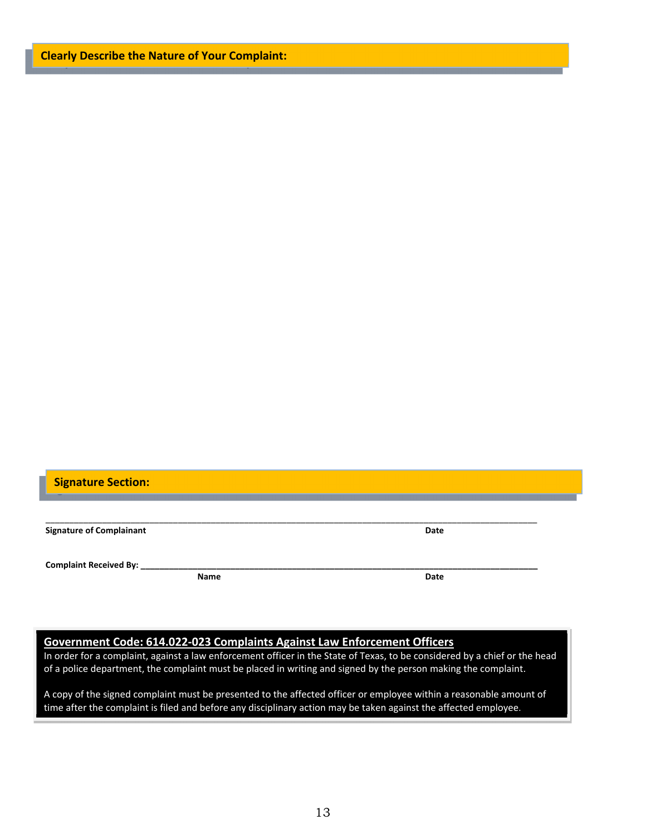$\mathcal{L}_\mathcal{L} = \{ \mathcal{L}_\mathcal{L} = \{ \mathcal{L}_\mathcal{L} = \{ \mathcal{L}_\mathcal{L} = \{ \mathcal{L}_\mathcal{L} = \{ \mathcal{L}_\mathcal{L} = \{ \mathcal{L}_\mathcal{L} = \{ \mathcal{L}_\mathcal{L} = \{ \mathcal{L}_\mathcal{L} = \{ \mathcal{L}_\mathcal{L} = \{ \mathcal{L}_\mathcal{L} = \{ \mathcal{L}_\mathcal{L} = \{ \mathcal{L}_\mathcal{L} = \{ \mathcal{L}_\mathcal{L} = \{ \mathcal{L}_\mathcal{$ 

#### **Signature Section:**

**Signature of Complainant Date** 

**Complaint Received By: \_\_\_\_\_\_\_\_\_\_\_\_\_\_\_\_\_\_\_\_\_\_\_\_\_\_\_\_\_\_\_\_\_\_\_\_\_\_\_\_\_\_\_\_\_\_\_\_\_\_\_\_\_\_\_\_\_\_\_\_\_\_\_\_\_\_\_\_\_\_\_\_\_\_\_\_\_\_\_\_\_\_\_\_**

**Name Date**

#### **Government Code: 614.022‐023 Complaints Against Law Enforcement Officers**

In order for a complaint, against a law enforcement officer in the State of Texas, to be considered by a chief or the head of a police department, the complaint must be placed in writing and signed by the person making the complaint.

\_\_\_\_\_\_\_\_\_\_\_\_\_\_\_\_\_\_\_\_\_\_\_\_\_\_\_\_\_\_\_\_\_\_\_\_\_\_\_\_\_\_\_\_\_\_\_\_\_\_\_\_\_\_\_\_\_\_\_\_\_\_\_\_\_\_\_\_\_\_\_\_\_\_\_\_\_\_\_\_\_\_\_\_\_\_\_\_\_\_\_\_\_\_\_\_\_\_\_\_\_\_\_\_

A copy of the signed complaint must be presented to the affected officer or employee within a reasonable amount of time after the complaint is filed and before any disciplinary action may be taken against the affected employee.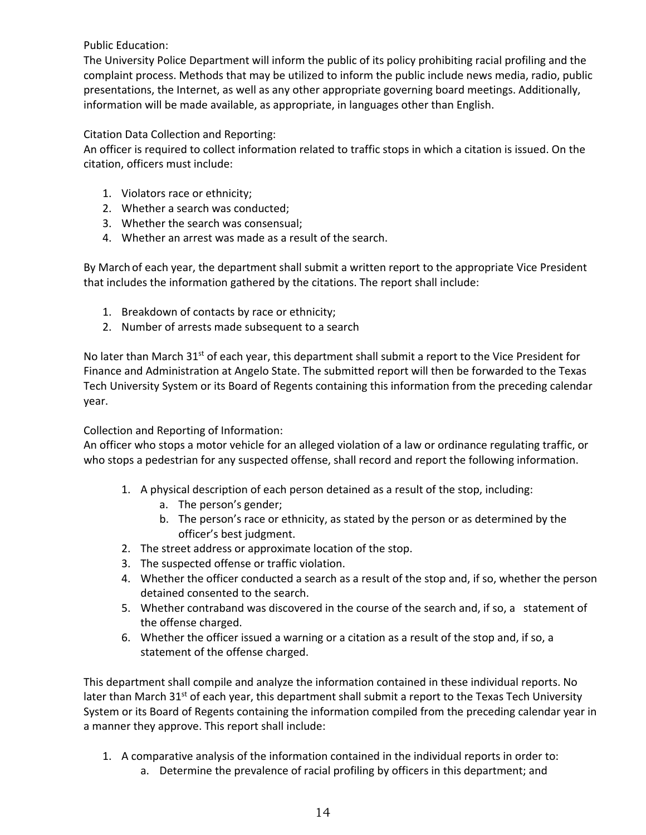Public Education:

The University Police Department will inform the public of its policy prohibiting racial profiling and the complaint process. Methods that may be utilized to inform the public include news media, radio, public presentations, the Internet, as well as any other appropriate governing board meetings. Additionally, information will be made available, as appropriate, in languages other than English.

#### Citation Data Collection and Reporting:

An officer is required to collect information related to traffic stops in which a citation is issued. On the citation, officers must include:

- 1. Violators race or ethnicity;
- 2. Whether a search was conducted;
- 3. Whether the search was consensual;
- 4. Whether an arrest was made as a result of the search.

By March of each year, the department shall submit a written report to the appropriate Vice President that includes the information gathered by the citations. The report shall include:

- 1. Breakdown of contacts by race or ethnicity;
- 2. Number of arrests made subsequent to a search

No later than March  $31^{st}$  of each year, this department shall submit a report to the Vice President for Finance and Administration at Angelo State. The submitted report will then be forwarded to the Texas Tech University System or its Board of Regents containing this information from the preceding calendar year.

#### Collection and Reporting of Information:

An officer who stops a motor vehicle for an alleged violation of a law or ordinance regulating traffic, or who stops a pedestrian for any suspected offense, shall record and report the following information.

- 1. A physical description of each person detained as a result of the stop, including:
	- a. The person's gender;
	- b. The person's race or ethnicity, as stated by the person or as determined by the officer's best judgment.
- 2. The street address or approximate location of the stop.
- 3. The suspected offense or traffic violation.
- 4. Whether the officer conducted a search as a result of the stop and, if so, whether the person detained consented to the search.
- 5. Whether contraband was discovered in the course of the search and, if so, a statement of the offense charged.
- 6. Whether the officer issued a warning or a citation as a result of the stop and, if so, a statement of the offense charged.

This department shall compile and analyze the information contained in these individual reports. No later than March  $31<sup>st</sup>$  of each year, this department shall submit a report to the Texas Tech University System or its Board of Regents containing the information compiled from the preceding calendar year in a manner they approve. This report shall include:

- 1. A comparative analysis of the information contained in the individual reports in order to:
	- a. Determine the prevalence of racial profiling by officers in this department; and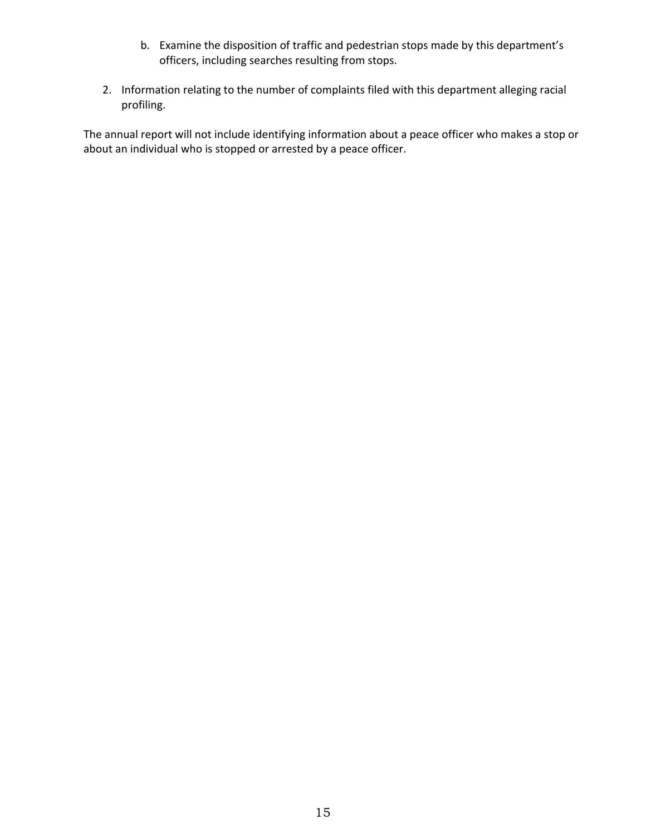- b. Examine the disposition of traffic and pedestrian stops made by this department's officers, including searches resulting from stops.
- 2. Information relating to the number of complaints filed with this department alleging racial profiling.

The annual report will not include identifying information about a peace officer who makes a stop or about an individual who is stopped or arrested by a peace officer.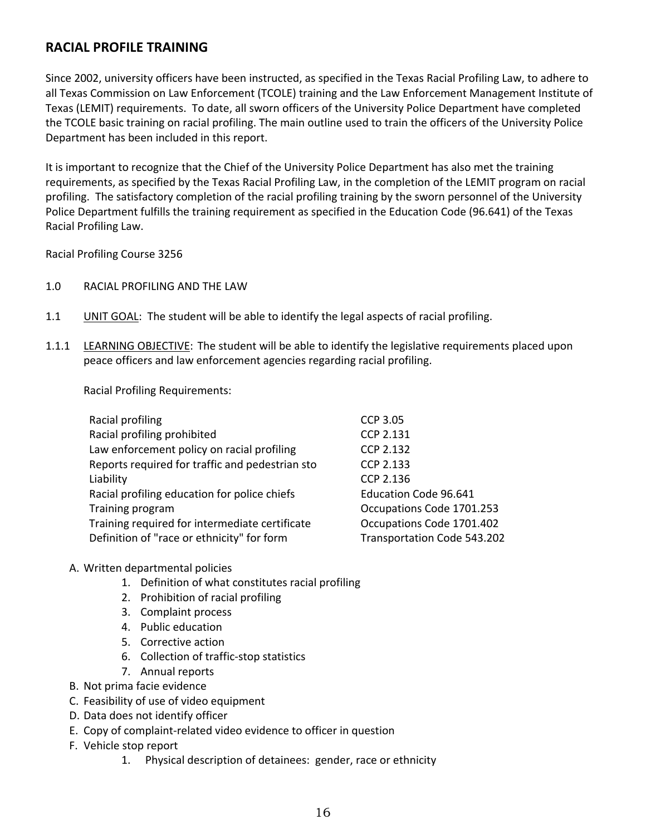# **RACIAL PROFILE TRAINING**

Since 2002, university officers have been instructed, as specified in the Texas Racial Profiling Law, to adhere to all Texas Commission on Law Enforcement (TCOLE) training and the Law Enforcement Management Institute of Texas (LEMIT) requirements. To date, all sworn officers of the University Police Department have completed the TCOLE basic training on racial profiling. The main outline used to train the officers of the University Police Department has been included in this report.

It is important to recognize that the Chief of the University Police Department has also met the training requirements, as specified by the Texas Racial Profiling Law, in the completion of the LEMIT program on racial profiling. The satisfactory completion of the racial profiling training by the sworn personnel of the University Police Department fulfills the training requirement as specified in the Education Code (96.641) of the Texas Racial Profiling Law.

Racial Profiling Course 3256

- 1.0 RACIAL PROFILING AND THE LAW
- 1.1 UNIT GOAL: The student will be able to identify the legal aspects of racial profiling.
- 1.1.1 LEARNING OBJECTIVE: The student will be able to identify the legislative requirements placed upon peace officers and law enforcement agencies regarding racial profiling.

Racial Profiling Requirements:

| Racial profiling                                | <b>CCP 3.05</b>             |
|-------------------------------------------------|-----------------------------|
| Racial profiling prohibited                     | CCP 2.131                   |
| Law enforcement policy on racial profiling      | CCP 2.132                   |
| Reports required for traffic and pedestrian sto | CCP 2.133                   |
| Liability                                       | CCP 2.136                   |
| Racial profiling education for police chiefs    | Education Code 96.641       |
| Training program                                | Occupations Code 1701.253   |
| Training required for intermediate certificate  | Occupations Code 1701.402   |
| Definition of "race or ethnicity" for form      | Transportation Code 543.202 |
|                                                 |                             |

- A. Written departmental policies
	- 1. Definition of what constitutes racial profiling
	- 2. Prohibition of racial profiling
	- 3. Complaint process
	- 4. Public education
	- 5. Corrective action
	- 6. Collection of traffic‐stop statistics
	- 7. Annual reports
- B. Not prima facie evidence
- C. Feasibility of use of video equipment
- D. Data does not identify officer
- E. Copy of complaint‐related video evidence to officer in question
- F. Vehicle stop report
	- 1. Physical description of detainees: gender, race or ethnicity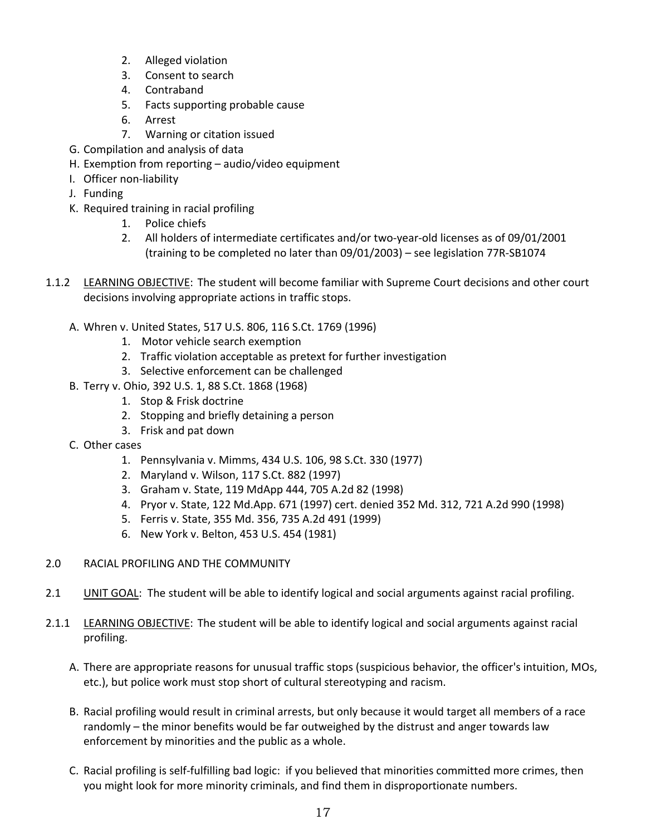- 2. Alleged violation
- 3. Consent to search
- 4. Contraband
- 5. Facts supporting probable cause
- 6. Arrest
- 7. Warning or citation issued
- G. Compilation and analysis of data
- H. Exemption from reporting audio/video equipment
- I. Officer non‐liability
- J. Funding
- K. Required training in racial profiling
	- 1. Police chiefs
	- 2. All holders of intermediate certificates and/or two-year-old licenses as of 09/01/2001 (training to be completed no later than 09/01/2003) – see legislation 77R‐SB1074
- 1.1.2 LEARNING OBJECTIVE: The student will become familiar with Supreme Court decisions and other court decisions involving appropriate actions in traffic stops.
	- A. Whren v. United States, 517 U.S. 806, 116 S.Ct. 1769 (1996)
		- 1. Motor vehicle search exemption
		- 2. Traffic violation acceptable as pretext for further investigation
		- 3. Selective enforcement can be challenged
	- B. Terry v. Ohio, 392 U.S. 1, 88 S.Ct. 1868 (1968)
		- 1. Stop & Frisk doctrine
		- 2. Stopping and briefly detaining a person
		- 3. Frisk and pat down
	- C. Other cases
		- 1. Pennsylvania v. Mimms, 434 U.S. 106, 98 S.Ct. 330 (1977)
		- 2. Maryland v. Wilson, 117 S.Ct. 882 (1997)
		- 3. Graham v. State, 119 MdApp 444, 705 A.2d 82 (1998)
		- 4. Pryor v. State, 122 Md.App. 671 (1997) cert. denied 352 Md. 312, 721 A.2d 990 (1998)
		- 5. Ferris v. State, 355 Md. 356, 735 A.2d 491 (1999)
		- 6. New York v. Belton, 453 U.S. 454 (1981)
- 2.0 RACIAL PROFILING AND THE COMMUNITY
- 2.1 UNIT GOAL: The student will be able to identify logical and social arguments against racial profiling.
- 2.1.1 LEARNING OBJECTIVE: The student will be able to identify logical and social arguments against racial profiling.
	- A. There are appropriate reasons for unusual traffic stops (suspicious behavior, the officer's intuition, MOs, etc.), but police work must stop short of cultural stereotyping and racism.
	- B. Racial profiling would result in criminal arrests, but only because it would target all members of a race randomly – the minor benefits would be far outweighed by the distrust and anger towards law enforcement by minorities and the public as a whole.
	- C. Racial profiling is self‐fulfilling bad logic: if you believed that minorities committed more crimes, then you might look for more minority criminals, and find them in disproportionate numbers.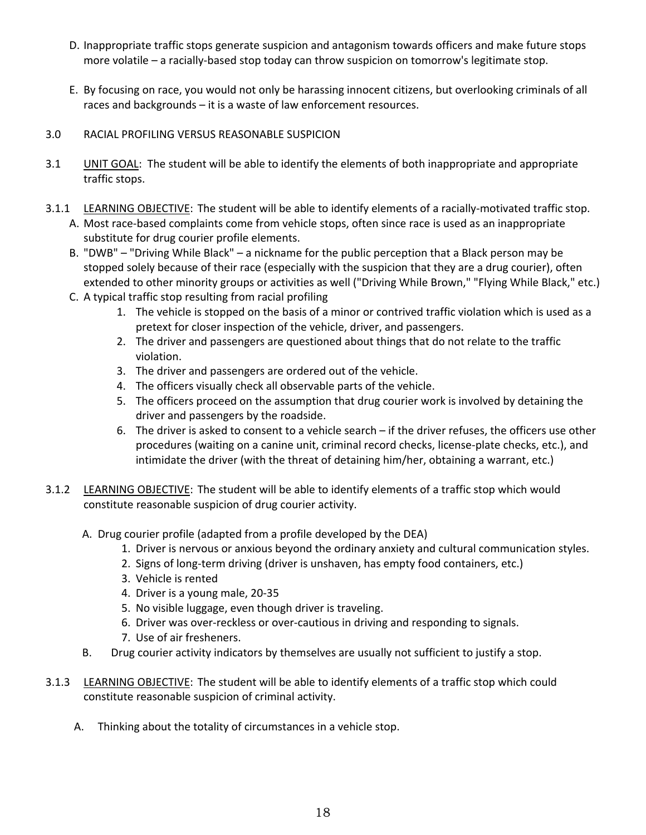- D. Inappropriate traffic stops generate suspicion and antagonism towards officers and make future stops more volatile – a racially-based stop today can throw suspicion on tomorrow's legitimate stop.
- E. By focusing on race, you would not only be harassing innocent citizens, but overlooking criminals of all races and backgrounds – it is a waste of law enforcement resources.
- 3.0 RACIAL PROFILING VERSUS REASONABLE SUSPICION
- 3.1 UNIT GOAL: The student will be able to identify the elements of both inappropriate and appropriate traffic stops.
- 3.1.1 LEARNING OBJECTIVE: The student will be able to identify elements of a racially-motivated traffic stop.
	- A. Most race‐based complaints come from vehicle stops, often since race is used as an inappropriate substitute for drug courier profile elements.
		- B. "DWB" "Driving While Black" a nickname for the public perception that a Black person may be stopped solely because of their race (especially with the suspicion that they are a drug courier), often extended to other minority groups or activities as well ("Driving While Brown," "Flying While Black," etc.)
		- C. A typical traffic stop resulting from racial profiling
			- 1. The vehicle is stopped on the basis of a minor or contrived traffic violation which is used as a pretext for closer inspection of the vehicle, driver, and passengers.
			- 2. The driver and passengers are questioned about things that do not relate to the traffic violation.
			- 3. The driver and passengers are ordered out of the vehicle.
			- 4. The officers visually check all observable parts of the vehicle.
			- 5. The officers proceed on the assumption that drug courier work is involved by detaining the driver and passengers by the roadside.
			- 6. The driver is asked to consent to a vehicle search if the driver refuses, the officers use other procedures (waiting on a canine unit, criminal record checks, license-plate checks, etc.), and intimidate the driver (with the threat of detaining him/her, obtaining a warrant, etc.)
- 3.1.2 LEARNING OBJECTIVE: The student will be able to identify elements of a traffic stop which would constitute reasonable suspicion of drug courier activity.
	- A. Drug courier profile (adapted from a profile developed by the DEA)
		- 1. Driver is nervous or anxious beyond the ordinary anxiety and cultural communication styles.
		- 2. Signs of long-term driving (driver is unshaven, has empty food containers, etc.)
		- 3. Vehicle is rented
		- 4. Driver is a young male, 20‐35
		- 5. No visible luggage, even though driver is traveling.
		- 6. Driver was over‐reckless or over‐cautious in driving and responding to signals.
		- 7. Use of air fresheners.
	- B. Drug courier activity indicators by themselves are usually not sufficient to justify a stop.
- 3.1.3 LEARNING OBJECTIVE: The student will be able to identify elements of a traffic stop which could constitute reasonable suspicion of criminal activity.
	- A. Thinking about the totality of circumstances in a vehicle stop.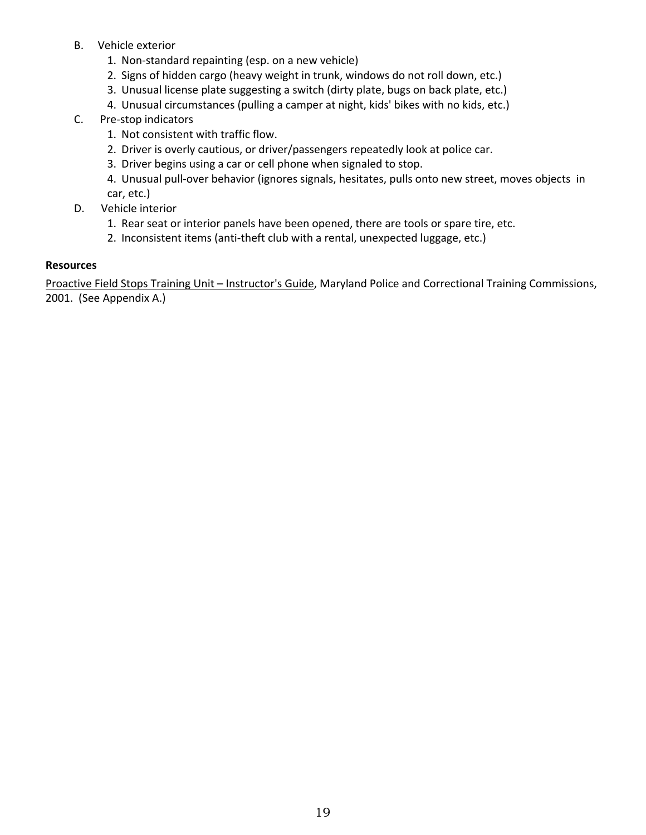- B. Vehicle exterior
	- 1. Non‐standard repainting (esp. on a new vehicle)
	- 2. Signs of hidden cargo (heavy weight in trunk, windows do not roll down, etc.)
	- 3. Unusual license plate suggesting a switch (dirty plate, bugs on back plate, etc.)
	- 4. Unusual circumstances (pulling a camper at night, kids' bikes with no kids, etc.)
- C. Pre-stop indicators
	- 1. Not consistent with traffic flow.
	- 2. Driver is overly cautious, or driver/passengers repeatedly look at police car.
	- 3. Driver begins using a car or cell phone when signaled to stop.
	- 4. Unusual pull-over behavior (ignores signals, hesitates, pulls onto new street, moves objects in car, etc.)
- D. Vehicle interior
	- 1. Rear seat or interior panels have been opened, there are tools or spare tire, etc.
	- 2. Inconsistent items (anti-theft club with a rental, unexpected luggage, etc.)

#### **Resources**

Proactive Field Stops Training Unit – Instructor's Guide, Maryland Police and Correctional Training Commissions, 2001. (See Appendix A.)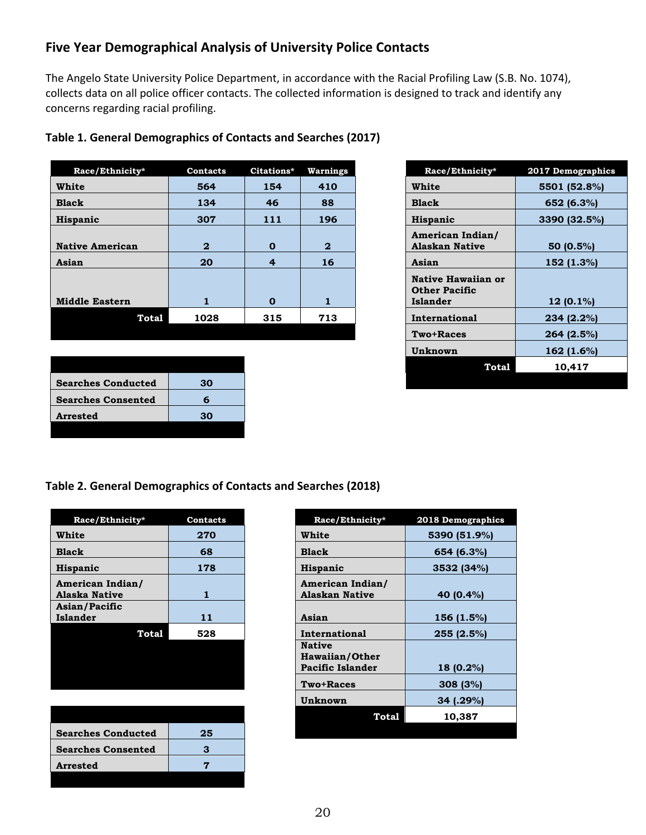# **Five Year Demographical Analysis of University Police Contacts**

The Angelo State University Police Department, in accordance with the Racial Profiling Law (S.B. No. 1074), collects data on all police officer contacts. The collected information is designed to track and identify any concerns regarding racial profiling.

| Race/Ethnicity*        | <b>Contacts</b> | Citations* | <b>Warnings</b> |
|------------------------|-----------------|------------|-----------------|
| White                  | 564             | 154        | 410             |
|                        |                 |            |                 |
| <b>Black</b>           | 134             | 46         | 88              |
| <b>Hispanic</b>        | 307             | 111        | 196             |
|                        |                 |            |                 |
|                        |                 |            |                 |
| <b>Native American</b> | $\overline{2}$  | $\Omega$   | $\mathbf{2}$    |
| Asian                  | <b>20</b>       | 4          | 16              |
|                        |                 |            |                 |
|                        |                 |            |                 |
|                        |                 |            |                 |
| <b>Middle Eastern</b>  |                 | $\bf{0}$   | 1               |
|                        |                 |            |                 |
| Total                  | 1028            | 315        | 713             |

### **Table 1. General Demographics of Contacts and Searches (2017)**

| Race/Ethnicity*        | Contacts     | Citations*  | Warnings       | Race/Ethnicity*                                        | 2017 Demographics |
|------------------------|--------------|-------------|----------------|--------------------------------------------------------|-------------------|
| White                  | 564          | 154         | 410            | White                                                  | 5501 (52.8%)      |
| Black                  | 134          | 46          | 88             | <b>Black</b>                                           | 652 (6.3%)        |
| Hispanic               | 307          | 111         | 196            | <b>Hispanic</b>                                        | 3390 (32.5%)      |
| <b>Native American</b> | $\mathbf{2}$ | $\mathbf 0$ | $\overline{2}$ | American Indian/<br><b>Alaskan Native</b>              | 50 (0.5%)         |
| Asian                  | 20           | 4           | 16             | Asian                                                  | 152 (1.3%)        |
| Middle Eastern         | $\mathbf{1}$ | $\mathbf 0$ | $\mathbf{1}$   | Native Hawaiian or<br><b>Other Pacific</b><br>Islander | $12(0.1\%)$       |
| <b>Total</b>           | 1028         | 315         | 713            | <b>International</b>                                   | $234(2.2\%)$      |
|                        |              |             |                | <b>Two+Races</b>                                       | 264(2.5%)         |
|                        |              |             |                | Unknown                                                | 162 (1.6%)        |
|                        |              |             |                | <b>Total</b>                                           | 10,417            |
| _ _ _ _                | $-1$         |             |                |                                                        |                   |

| <b>Searches Conducted</b> | 30 |
|---------------------------|----|
| <b>Searches Consented</b> | 6  |
| Arrested                  | 30 |
|                           |    |

#### **Table 2. General Demographics of Contacts and Searches (2018)**

| Race/Ethnicity*                   | <b>Contacts</b> |
|-----------------------------------|-----------------|
| White                             | 270             |
| <b>Black</b>                      | 68              |
| <b>Hispanic</b>                   | 178             |
| American Indian/<br>Alaska Native | 1               |
| Asian/Pacific<br>Islander         | 11              |
| Total                             | 528             |
|                                   |                 |

| <b>Searches Conducted</b> | 25     |
|---------------------------|--------|
| <b>Searches Consented</b> | з      |
| <b>Arrested</b>           | $\sim$ |

| Race/Ethnicity*           | Contacts | Race/Ethnicity*         | 2018 Demographics |
|---------------------------|----------|-------------------------|-------------------|
| White                     | 270      | White                   | 5390 (51.9%)      |
| Black                     | 68       | <b>Black</b>            | 654 (6.3%)        |
| Hispanic                  | 178      | <b>Hispanic</b>         | 3532 (34%)        |
| American Indian/          |          | American Indian/        |                   |
| Alaska Native             | 1        | <b>Alaskan Native</b>   | 40 (0.4%)         |
| Asian/Pacific             |          |                         |                   |
| Islander                  | 11       | Asian                   | 156 (1.5%)        |
| <b>Total</b>              | 528      | International           | 255(2.5%)         |
|                           |          | <b>Native</b>           |                   |
|                           |          | Hawaiian/Other          |                   |
|                           |          | <b>Pacific Islander</b> | $18(0.2\%)$       |
|                           |          | Two+Races               | 308(3%)           |
|                           |          | Unknown                 | 34 (.29%)         |
|                           |          | Total                   | 10,387            |
| <b>Searches Conducted</b> | 25       |                         |                   |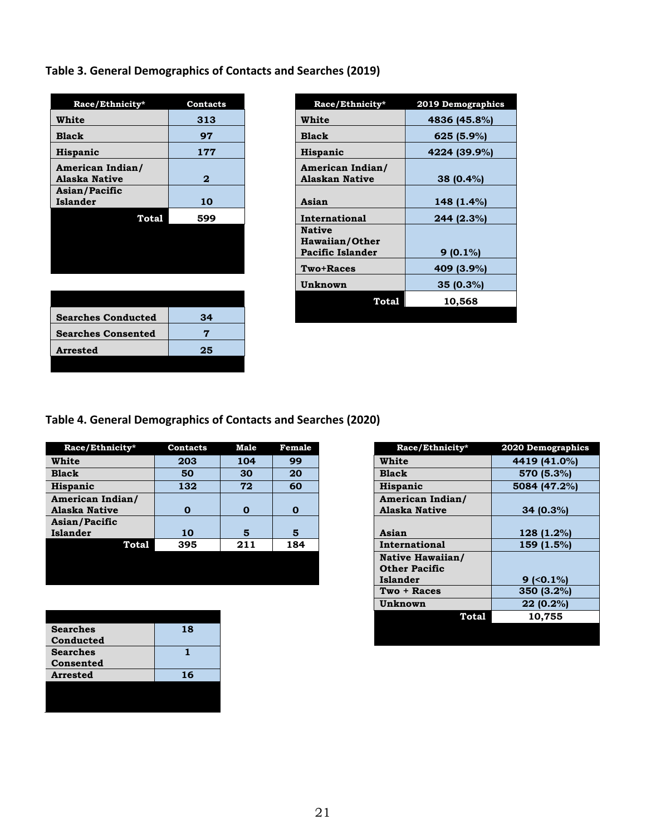### **Table 3. General Demographics of Contacts and Searches (2019)**

| Race/Ethnicity*                   | <b>Contacts</b> |
|-----------------------------------|-----------------|
| White                             | 313             |
| <b>Black</b>                      | 97              |
| <b>Hispanic</b>                   | 177             |
| American Indian/<br>Alaska Native | $\mathbf{2}$    |
| Asian/Pacific<br>Islander         | 10              |
| Total                             | 599             |
|                                   |                 |
|                                   |                 |
|                                   |                 |

| <b>Searches Conducted</b> | 34 |
|---------------------------|----|
| <b>Searches Consented</b> |    |
| Arrested                  | 25 |
|                           |    |

| Race/Ethnicity*                   | Contacts     | Race/Ethnicity*                                            | 2019 Demographics |
|-----------------------------------|--------------|------------------------------------------------------------|-------------------|
| White                             | 313          | White                                                      | 4836 (45.8%)      |
| Black                             | 97           | <b>Black</b>                                               | $625(5.9\%)$      |
| Hispanic                          | 177          | <b>Hispanic</b>                                            | 4224 (39.9%)      |
| American Indian/<br>Alaska Native | $\mathbf{2}$ | American Indian/<br><b>Alaskan Native</b>                  | 38 (0.4%)         |
| Asian/Pacific<br>Islander         | 10           | Asian                                                      | 148 (1.4%)        |
| <b>Total</b>                      | 599          | International                                              | 244 (2.3%)        |
|                                   |              | <b>Native</b><br>Hawaiian/Other<br><b>Pacific Islander</b> | $9(0.1\%)$        |
|                                   |              | Two+Races                                                  | 409 (3.9%)        |
|                                   |              | Unknown                                                    | $35(0.3\%)$       |
|                                   |              | <b>Total</b>                                               | 10,568            |
| Searches Conducted                | 34           |                                                            |                   |

# **Table 4. General Demographics of Contacts and Searches (2020)**

| Race/Ethnicity*      | Contacts | Male     | Female   |
|----------------------|----------|----------|----------|
| White                | 203      | 104      | 99       |
| <b>Black</b>         | 50       | 30       | 20       |
| <b>Hispanic</b>      | 132      | 72       | 60       |
| American Indian/     |          |          |          |
| <b>Alaska Native</b> | $\Omega$ | $\bf{0}$ | $\bf{0}$ |
| Asian/Pacific        |          |          |          |
| Islander             | 10       | 5        | 5        |
| Total                | 395      | 211      | 184      |
|                      |          |          |          |
|                      |          |          |          |
|                      |          |          |          |

| <b>Searches</b> | 18 |
|-----------------|----|
| Conducted       |    |
| <b>Searches</b> |    |
| Consented       |    |
| <b>Arrested</b> | 16 |
|                 |    |
|                 |    |
|                 |    |

| Race/Ethnicity*        | Contacts    | Male        | Female    | Race/Ethnicity*      | 2020 Demographics |
|------------------------|-------------|-------------|-----------|----------------------|-------------------|
| White                  | 203         | 104         | 99        | White                | 4419 (41.0%)      |
| Black                  | 50          | 30          | <b>20</b> | <b>Black</b>         | 570 (5.3%)        |
| Hispanic               | 132         | 72          | 60        | <b>Hispanic</b>      | 5084 (47.2%)      |
| American Indian/       |             |             |           | American Indian/     |                   |
| Alaska Native          | $\mathbf 0$ | $\mathbf 0$ | $\bf{0}$  | <b>Alaska Native</b> | $34(0.3\%)$       |
| Asian/Pacific          |             |             |           |                      |                   |
| Islander               | 10          | 5           | 5         | Asian                | $128(1.2\%)$      |
| Total                  | 395         | 211         | 184       | International        | 159 (1.5%)        |
|                        |             |             |           | Native Hawaiian/     |                   |
|                        |             |             |           | <b>Other Pacific</b> |                   |
|                        |             |             |           | Islander             | $9$ (<0.1%)       |
|                        |             |             |           | $Two + Races$        | 350 (3.2%)        |
|                        |             |             |           | Unknown              | $22(0.2\%)$       |
|                        |             |             |           | <b>Total</b>         | 10,755            |
| Searches<br><b>. .</b> | 18          |             |           |                      |                   |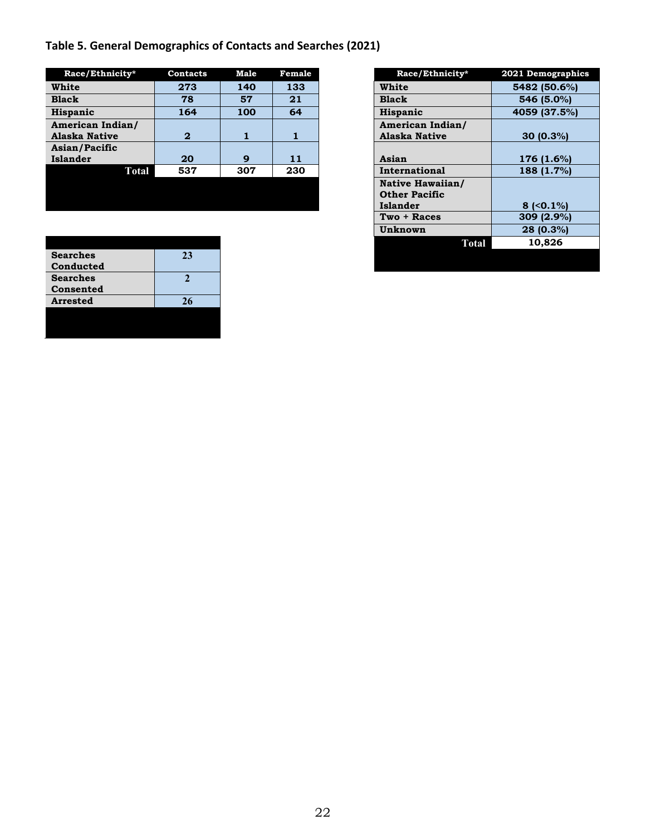# **Table 5. General Demographics of Contacts and Searches (2021)**

| Race/Ethnicity*      | Contacts       | Male | Female |
|----------------------|----------------|------|--------|
| White                | 273            | 140  | 133    |
| <b>Black</b>         | 78             | 57   | 21     |
| <b>Hispanic</b>      | 164            | 100  | 64     |
| American Indian/     |                |      |        |
| <b>Alaska Native</b> | $\overline{2}$ |      | 1      |
| Asian/Pacific        |                |      |        |
| Islander             | 20             | 9    | 11     |
| <b>Total</b>         | 537            | 307  | 230    |
|                      |                |      |        |
|                      |                |      |        |
|                      |                |      |        |

| Race/Ethnicity*  | Contacts     | Male | Female |
|------------------|--------------|------|--------|
| White            | 273          | 140  | 133    |
| Black            | 78           | 57   | 21     |
| Hispanic         | 164          | 100  | 64     |
| American Indian/ |              |      |        |
| Alaska Native    | $\mathbf{2}$ | 1    | 1      |
| Asian/Pacific    |              |      |        |
| Islander         | <b>20</b>    | 9    | 11     |
| <b>Total</b>     | 537          | 307  | 230    |
|                  |              |      |        |
|                  |              |      |        |
|                  |              |      |        |
|                  |              |      |        |
|                  |              |      |        |
|                  |              |      |        |
| Searches         | 23           |      |        |

| <b>Searches</b> | 23            |
|-----------------|---------------|
| Conducted       |               |
| <b>Searches</b> | $\mathcal{P}$ |
| Consented       |               |
| <b>Arrested</b> | 26            |
|                 |               |
|                 |               |
|                 |               |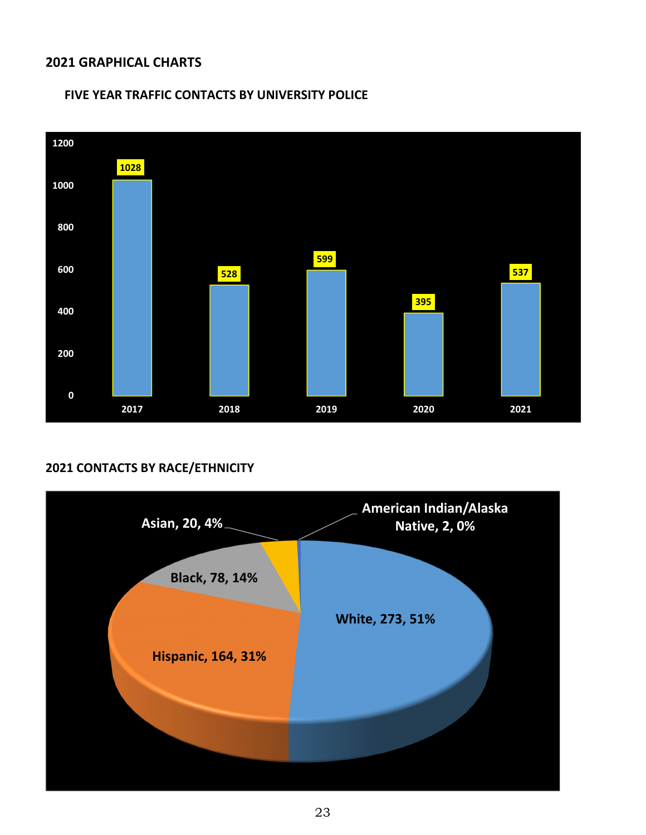#### **GRAPHICAL CHARTS**

#### **FIVE YEAR TRAFFIC CONTACTS BY UNIVERSITY POLICE**



### **CONTACTS BY RACE/ETHNICITY**